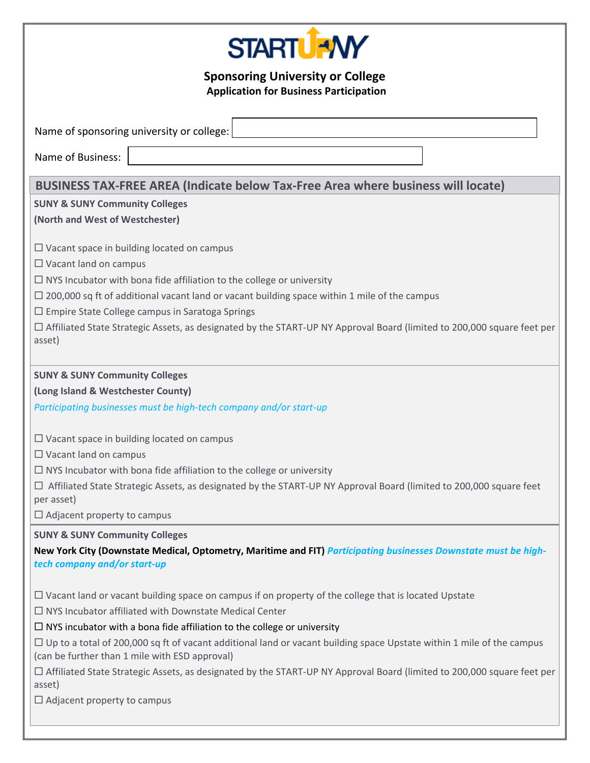

**Sponsoring University or College Application for Business Participation** 

Name of sponsoring university or college:

Name of Business:

# **BUSINESS TAX-FREE AREA (Indicate below Tax-Free Area where business will locate)**

## **SUNY & SUNY Community Colleges**

**(North and West of Westchester)**

 $\square$  Vacant space in building located on campus

□ Vacant land on campus

 $\Box$  NYS Incubator with bona fide affiliation to the college or university

 $\Box$  200,000 sq ft of additional vacant land or vacant building space within 1 mile of the campus

 $\square$  Empire State College campus in Saratoga Springs

 Affiliated State Strategic Assets, as designated by the START-UP NY Approval Board (limited to 200,000 square feet per asset)

## **SUNY & SUNY Community Colleges**

**(Long Island & Westchester County)**

*Participating businesses must be high-tech company and/or start-up*

 $\Box$  Vacant space in building located on campus

 $\square$  Vacant land on campus

 $\Box$  NYS Incubator with bona fide affiliation to the college or university

 $\Box$  Affiliated State Strategic Assets, as designated by the START-UP NY Approval Board (limited to 200,000 square feet per asset)

 $\Box$  Adjacent property to campus

## **SUNY & SUNY Community Colleges**

**New York City (Downstate Medical, Optometry, Maritime and FIT)** *Participating businesses Downstate must be hightech company and/or start-up*

 $\Box$  Vacant land or vacant building space on campus if on property of the college that is located Upstate

 $\Box$  NYS Incubator affiliated with Downstate Medical Center

 $\Box$  NYS incubator with a bona fide affiliation to the college or university

 $\Box$  Up to a total of 200,000 sq ft of vacant additional land or vacant building space Upstate within 1 mile of the campus (can be further than 1 mile with ESD approval)

 Affiliated State Strategic Assets, as designated by the START-UP NY Approval Board (limited to 200,000 square feet per asset)

 $\Box$  Adjacent property to campus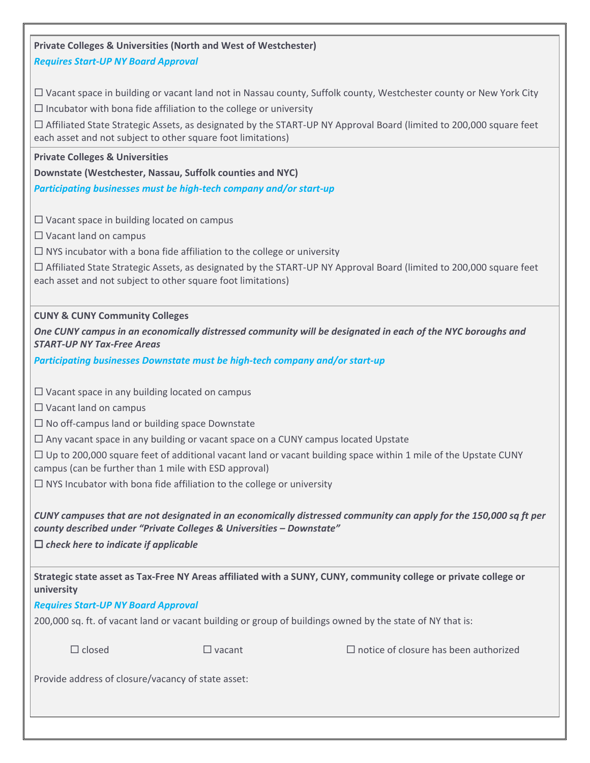| <b>Private Colleges &amp; Universities (North and West of Westchester)</b>                                                                                                                                                               |                                                                          |                                                                                                                          |  |
|------------------------------------------------------------------------------------------------------------------------------------------------------------------------------------------------------------------------------------------|--------------------------------------------------------------------------|--------------------------------------------------------------------------------------------------------------------------|--|
| <b>Requires Start-UP NY Board Approval</b>                                                                                                                                                                                               |                                                                          |                                                                                                                          |  |
|                                                                                                                                                                                                                                          |                                                                          |                                                                                                                          |  |
|                                                                                                                                                                                                                                          |                                                                          | $\Box$ Vacant space in building or vacant land not in Nassau county, Suffolk county, Westchester county or New York City |  |
|                                                                                                                                                                                                                                          | $\Box$ Incubator with bona fide affiliation to the college or university |                                                                                                                          |  |
| □ Affiliated State Strategic Assets, as designated by the START-UP NY Approval Board (limited to 200,000 square feet<br>each asset and not subject to other square foot limitations)                                                     |                                                                          |                                                                                                                          |  |
| <b>Private Colleges &amp; Universities</b>                                                                                                                                                                                               |                                                                          |                                                                                                                          |  |
| Downstate (Westchester, Nassau, Suffolk counties and NYC)                                                                                                                                                                                |                                                                          |                                                                                                                          |  |
| Participating businesses must be high-tech company and/or start-up                                                                                                                                                                       |                                                                          |                                                                                                                          |  |
| $\Box$ Vacant space in building located on campus                                                                                                                                                                                        |                                                                          |                                                                                                                          |  |
| $\Box$ Vacant land on campus                                                                                                                                                                                                             |                                                                          |                                                                                                                          |  |
| $\Box$ NYS incubator with a bona fide affiliation to the college or university                                                                                                                                                           |                                                                          |                                                                                                                          |  |
| □ Affiliated State Strategic Assets, as designated by the START-UP NY Approval Board (limited to 200,000 square feet<br>each asset and not subject to other square foot limitations)                                                     |                                                                          |                                                                                                                          |  |
| <b>CUNY &amp; CUNY Community Colleges</b>                                                                                                                                                                                                |                                                                          |                                                                                                                          |  |
| <b>START-UP NY Tax-Free Areas</b>                                                                                                                                                                                                        |                                                                          | One CUNY campus in an economically distressed community will be designated in each of the NYC boroughs and               |  |
| Participating businesses Downstate must be high-tech company and/or start-up                                                                                                                                                             |                                                                          |                                                                                                                          |  |
| $\square$ Vacant space in any building located on campus                                                                                                                                                                                 |                                                                          |                                                                                                                          |  |
| $\Box$ Vacant land on campus                                                                                                                                                                                                             |                                                                          |                                                                                                                          |  |
| $\Box$ No off-campus land or building space Downstate                                                                                                                                                                                    |                                                                          |                                                                                                                          |  |
| $\Box$ Any vacant space in any building or vacant space on a CUNY campus located Upstate                                                                                                                                                 |                                                                          |                                                                                                                          |  |
| $\Box$ Up to 200,000 square feet of additional vacant land or vacant building space within 1 mile of the Upstate CUNY<br>campus (can be further than 1 mile with ESD approval)                                                           |                                                                          |                                                                                                                          |  |
| $\Box$ NYS Incubator with bona fide affiliation to the college or university                                                                                                                                                             |                                                                          |                                                                                                                          |  |
| CUNY campuses that are not designated in an economically distressed community can apply for the 150,000 sq ft per<br>county described under "Private Colleges & Universities - Downstate"<br>$\Box$ check here to indicate if applicable |                                                                          |                                                                                                                          |  |
| university                                                                                                                                                                                                                               |                                                                          | Strategic state asset as Tax-Free NY Areas affiliated with a SUNY, CUNY, community college or private college or         |  |
| <b>Requires Start-UP NY Board Approval</b>                                                                                                                                                                                               |                                                                          |                                                                                                                          |  |
| 200,000 sq. ft. of vacant land or vacant building or group of buildings owned by the state of NY that is:                                                                                                                                |                                                                          |                                                                                                                          |  |
| $\Box$ closed                                                                                                                                                                                                                            | $\Box$ vacant                                                            | $\Box$ notice of closure has been authorized                                                                             |  |
| Provide address of closure/vacancy of state asset:                                                                                                                                                                                       |                                                                          |                                                                                                                          |  |
|                                                                                                                                                                                                                                          |                                                                          |                                                                                                                          |  |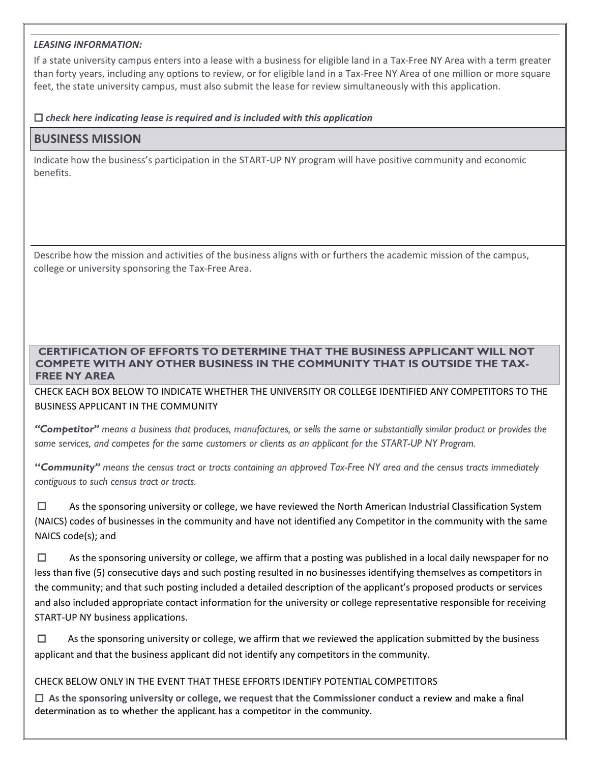#### *LEASING INFORMATION:*

If a state university campus enters into a lease with a business for eligible land in a Tax-Free NY Area with a term greater than forty years, including any options to review, or for eligible land in a Tax-Free NY Area of one million or more square feet, the state university campus, must also submit the lease for review simultaneously with this application.

#### *check here indicating lease is required and is included with this application*

## **BUSINESS MISSION**

Indicate how the business's participation in the START-UP NY program will have positive community and economic benefits.

Describe how the mission and activities of the business aligns with or furthers the academic mission of the campus, college or university sponsoring the Tax-Free Area.

## **CERTIFICATION OF EFFORTS TO DETERMINE THAT THE BUSINESS APPLICANT WILL NOT COMPETE WITH ANY OTHER BUSINESS IN THE COMMUNITY THAT IS OUTSIDE THE TAX-FREE NY AREA**

CHECK EACH BOX BELOW TO INDICATE WHETHER THE UNIVERSITY OR COLLEGE IDENTIFIED ANY COMPETITORS TO THE BUSINESS APPLICANT IN THE COMMUNITY

*"Competitor" means a business that produces, manufactures, or sells the same or substantially similar product or provides the same services, and competes for the same customers or clients as an applicant for the START-UP NY Program.* 

**"***Community" means the census tract or tracts containing an approved Tax-Free NY area and the census tracts immediately contiguous to such census tract or tracts.*

 $\Box$  As the sponsoring university or college, we have reviewed the North American Industrial Classification System (NAICS) codes of businesses in the community and have not identified any Competitor in the community with the same NAICS code(s); and

 $\Box$  As the sponsoring university or college, we affirm that a posting was published in a local daily newspaper for no less than five (5) consecutive days and such posting resulted in no businesses identifying themselves as competitors in the community; and that such posting included a detailed description of the applicant's proposed products or services and also included appropriate contact information for the university or college representative responsible for receiving START-UP NY business applications.

 $\Box$  As the sponsoring university or college, we affirm that we reviewed the application submitted by the business applicant and that the business applicant did not identify any competitors in the community.

## CHECK BELOW ONLY IN THE EVENT THAT THESE EFFORTS IDENTIFY POTENTIAL COMPETITORS

 **As the sponsoring university or college, we request that the Commissioner conduct** a review and make a final determination as to whether the applicant has a competitor in the community.